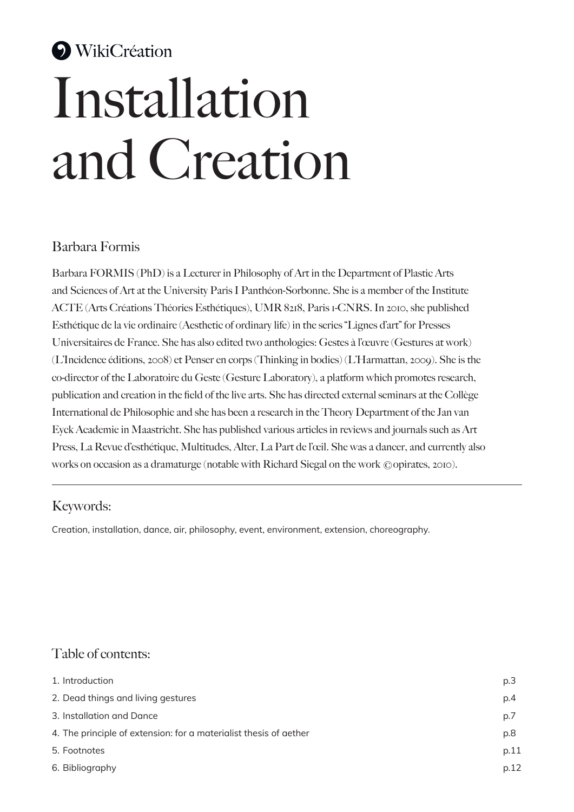# **WikiCréation** Installation and Creation

## Barbara Formis

Barbara FORMIS (PhD) is a Lecturer in Philosophy of Art in the Department of Plastic Arts and Sciences of Art at the University Paris I Panthéon-Sorbonne. She is a member of the Institute ACTE (Arts Créations Théories Esthétiques), UMR 8218, Paris 1-CNRS. In 2010, she published Esthétique de la vie ordinaire (Aesthetic of ordinary life) in the series "Lignes d'art" for Presses Universitaires de France. She has also edited two anthologies: Gestes à l'œuvre (Gestures at work) (L'Incidence éditions, 2008) et Penser en corps (Thinking in bodies) (L'Harmattan, 2009). She is the co-director of the Laboratoire du Geste (Gesture Laboratory), a platform which promotes research, publication and creation in the field of the live arts. She has directed external seminars at the Collège International de Philosophie and she has been a research in the Theory Department of the Jan van Eyck Academie in Maastricht. She has published various articles in reviews and journals such as Art Press, La Revue d'esthétique, Multitudes, Alter, La Part de l'œil. She was a dancer, and currently also works on occasion as a dramaturge (notable with Richard Siegal on the work ©opirates, 2010).

## Keywords:

Creation, installation, dance, air, philosophy, event, environment, extension, choreography.

## Table of contents:

| 1. Introduction                                                   | p.3  |
|-------------------------------------------------------------------|------|
| 2. Dead things and living gestures                                | p.4  |
| 3. Installation and Dance                                         | p.7  |
| 4. The principle of extension: for a materialist thesis of aether | p.8  |
| 5. Footnotes                                                      | p.11 |
| 6. Bibliography                                                   | p.12 |
|                                                                   |      |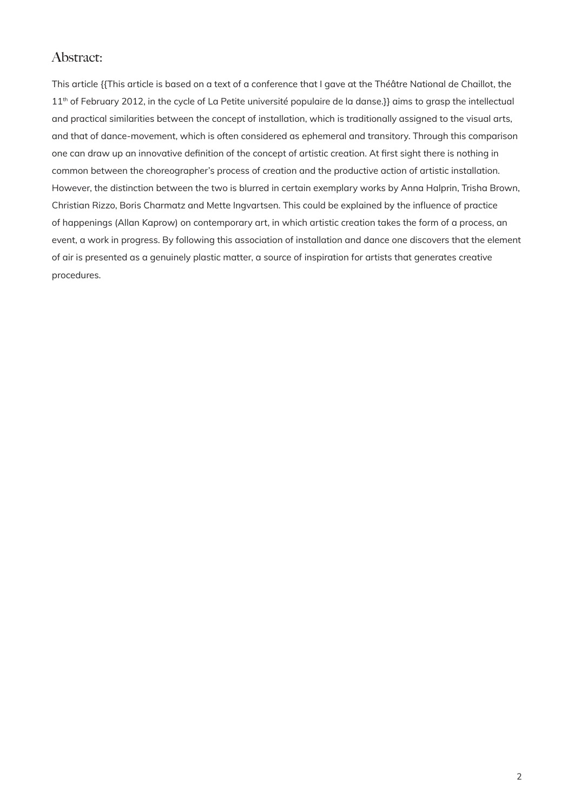### Abstract:

This article {{This article is based on a text of a conference that I gave at the Théâtre National de Chaillot, the 11<sup>th</sup> of February 2012, in the cycle of La Petite université populaire de la danse.}} aims to grasp the intellectual and practical similarities between the concept of installation, which is traditionally assigned to the visual arts, and that of dance-movement, which is often considered as ephemeral and transitory. Through this comparison one can draw up an innovative definition of the concept of artistic creation. At first sight there is nothing in common between the choreographer's process of creation and the productive action of artistic installation. However, the distinction between the two is blurred in certain exemplary works by Anna Halprin, Trisha Brown, Christian Rizzo, Boris Charmatz and Mette Ingvartsen. This could be explained by the influence of practice of happenings (Allan Kaprow) on contemporary art, in which artistic creation takes the form of a process, an event, a work in progress. By following this association of installation and dance one discovers that the element of air is presented as a genuinely plastic matter, a source of inspiration for artists that generates creative procedures.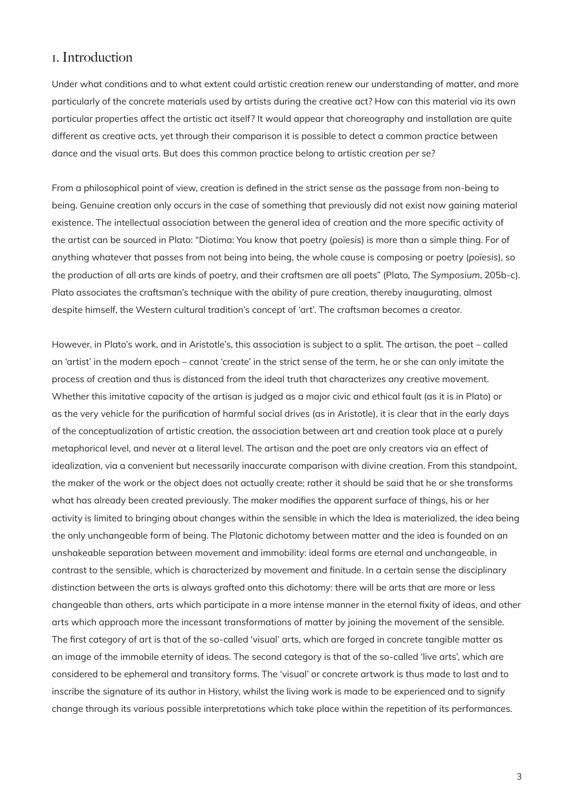#### 1. Introduction

Under what conditions and to what extent could artistic creation renew our understanding of matter, and more particularly of the concrete materials used by artists during the creative act? How can this material via its own particular properties affect the artistic act itself? It would appear that choreography and installation are quite different as creative acts, yet through their comparison it is possible to detect a common practice between dance and the visual arts. But does this common practice belong to artistic creation *per se*?

From a philosophical point of view, creation is defined in the strict sense as the passage from non-being to being. Genuine creation only occurs in the case of something that previously did not exist now gaining material existence. The intellectual association between the general idea of creation and the more specific activity of the artist can be sourced in Plato: "Diotima: You know that poetry (*poïesis*) is more than a simple thing. For of anything whatever that passes from not being into being, the whole cause is composing or poetry (*poïesis*), so the production of all arts are kinds of poetry, and their craftsmen are all poets" (Plato, *The Symposium*, 205b‑c). Plato associates the craftsman's technique with the ability of pure creation, thereby inaugurating, almost despite himself, the Western cultural tradition's concept of 'art'. The craftsman becomes a creator.

However, in Plato's work, and in Aristotle's, this association is subject to a split. The artisan, the poet – called an 'artist' in the modern epoch – cannot 'create' in the strict sense of the term, he or she can only imitate the process of creation and thus is distanced from the ideal truth that characterizes any creative movement. Whether this imitative capacity of the artisan is judged as a major civic and ethical fault (as it is in Plato) or as the very vehicle for the purification of harmful social drives (as in Aristotle), it is clear that in the early days of the conceptualization of artistic creation, the association between art and creation took place at a purely metaphorical level, and never at a literal level. The artisan and the poet are only creators via an effect of idealization, via a convenient but necessarily inaccurate comparison with divine creation. From this standpoint, the maker of the work or the object does not actually create; rather it should be said that he or she transforms what has already been created previously. The maker modifies the apparent surface of things, his or her activity is limited to bringing about changes within the sensible in which the Idea is materialized, the idea being the only unchangeable form of being. The Platonic dichotomy between matter and the idea is founded on an unshakeable separation between movement and immobility: ideal forms are eternal and unchangeable, in contrast to the sensible, which is characterized by movement and finitude. In a certain sense the disciplinary distinction between the arts is always grafted onto this dichotomy: there will be arts that are more or less changeable than others, arts which participate in a more intense manner in the eternal fixity of ideas, and other arts which approach more the incessant transformations of matter by joining the movement of the sensible. The first category of art is that of the so-called 'visual' arts, which are forged in concrete tangible matter as an image of the immobile eternity of ideas. The second category is that of the so-called 'live arts', which are considered to be ephemeral and transitory forms. The 'visual' or concrete artwork is thus made to last and to inscribe the signature of its author in History, whilst the living work is made to be experienced and to signify change through its various possible interpretations which take place within the repetition of its performances.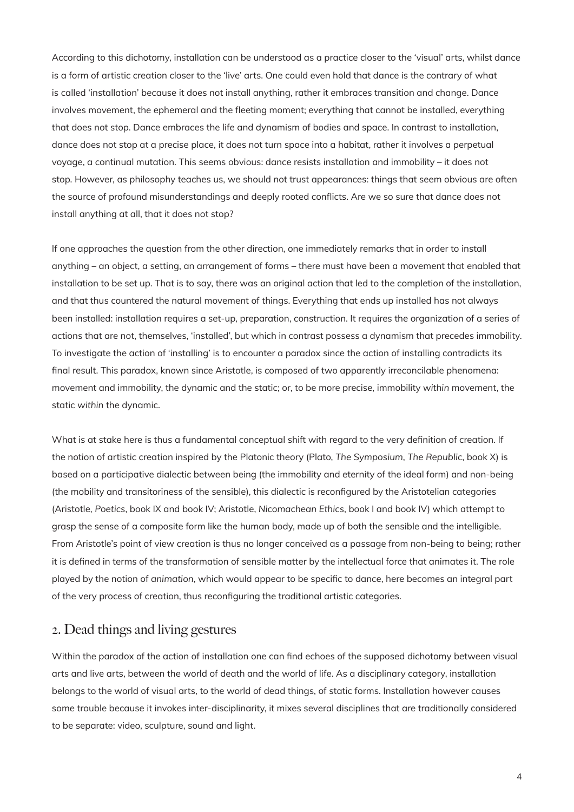According to this dichotomy, installation can be understood as a practice closer to the 'visual' arts, whilst dance is a form of artistic creation closer to the 'live' arts. One could even hold that dance is the contrary of what is called 'installation' because it does not install anything, rather it embraces transition and change. Dance involves movement, the ephemeral and the fleeting moment; everything that cannot be installed, everything that does not stop. Dance embraces the life and dynamism of bodies and space. In contrast to installation, dance does not stop at a precise place, it does not turn space into a habitat, rather it involves a perpetual voyage, a continual mutation. This seems obvious: dance resists installation and immobility – it does not stop. However, as philosophy teaches us, we should not trust appearances: things that seem obvious are often the source of profound misunderstandings and deeply rooted conflicts. Are we so sure that dance does not install anything at all, that it does not stop?

If one approaches the question from the other direction, one immediately remarks that in order to install anything – an object, a setting, an arrangement of forms – there must have been a movement that enabled that installation to be set up. That is to say, there was an original action that led to the completion of the installation, and that thus countered the natural movement of things. Everything that ends up installed has not always been installed: installation requires a set-up, preparation, construction. It requires the organization of a series of actions that are not, themselves, 'installed', but which in contrast possess a dynamism that precedes immobility. To investigate the action of 'installing' is to encounter a paradox since the action of installing contradicts its final result. This paradox, known since Aristotle, is composed of two apparently irreconcilable phenomena: movement and immobility, the dynamic and the static; or, to be more precise, immobility *within* movement, the static *within* the dynamic.

What is at stake here is thus a fundamental conceptual shift with regard to the very definition of creation. If the notion of artistic creation inspired by the Platonic theory (Plato, *The Symposium*, *The Republic*, book X) is based on a participative dialectic between being (the immobility and eternity of the ideal form) and non-being (the mobility and transitoriness of the sensible), this dialectic is reconfigured by the Aristotelian categories (Aristotle, *Poetics*, book IX and book IV; Aristotle, *Nicomachean Ethics*, book I and book IV) which attempt to grasp the sense of a composite form like the human body, made up of both the sensible and the intelligible. From Aristotle's point of view creation is thus no longer conceived as a passage from non-being to being; rather it is defined in terms of the transformation of sensible matter by the intellectual force that animates it. The role played by the notion of *animation*, which would appear to be specific to dance, here becomes an integral part of the very process of creation, thus reconfiguring the traditional artistic categories.

#### 2. Dead things and living gestures

Within the paradox of the action of installation one can find echoes of the supposed dichotomy between visual arts and live arts, between the world of death and the world of life. As a disciplinary category, installation belongs to the world of visual arts, to the world of dead things, of static forms. Installation however causes some trouble because it invokes inter-disciplinarity, it mixes several disciplines that are traditionally considered to be separate: video, sculpture, sound and light.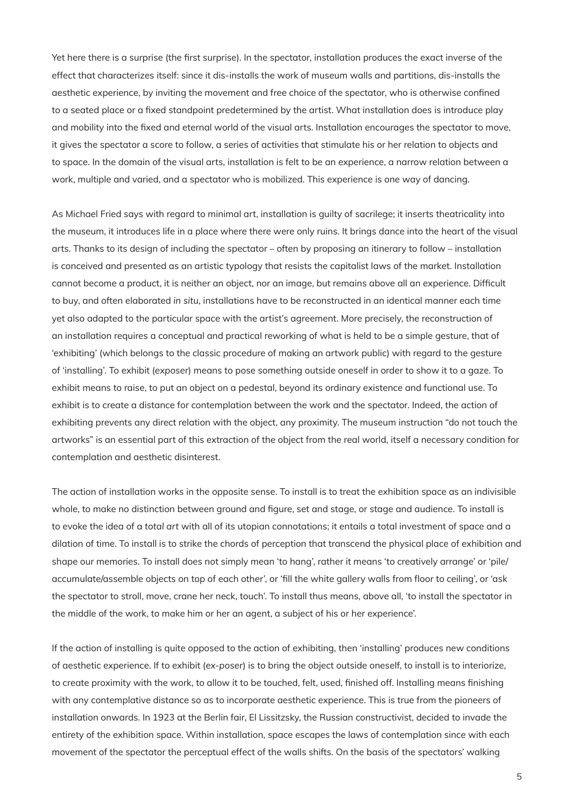Yet here there is a surprise (the first surprise). In the spectator, installation produces the exact inverse of the effect that characterizes itself: since it dis-installs the work of museum walls and partitions, dis-installs the aesthetic experience, by inviting the movement and free choice of the spectator, who is otherwise confined to a seated place or a fixed standpoint predetermined by the artist. What installation does is introduce play and mobility into the fixed and eternal world of the visual arts. Installation encourages the spectator to move, it gives the spectator a score to follow, a series of activities that stimulate his or her relation to objects and to space. In the domain of the visual arts, installation is felt to be an experience, a narrow relation between a work, multiple and varied, and a spectator who is mobilized. This experience is one way of dancing.

As Michael Fried says with regard to minimal art, installation is guilty of sacrilege; it inserts theatricality into the museum, it introduces life in a place where there were only ruins. It brings dance into the heart of the visual arts. Thanks to its design of including the spectator – often by proposing an itinerary to follow – installation is conceived and presented as an artistic typology that resists the capitalist laws of the market. Installation cannot become a product, it is neither an object, nor an image, but remains above all an experience. Difficult to buy, and often elaborated *in situ*, installations have to be reconstructed in an identical manner each time yet also adapted to the particular space with the artist's agreement. More precisely, the reconstruction of an installation requires a conceptual and practical reworking of what is held to be a simple gesture, that of 'exhibiting' (which belongs to the classic procedure of making an artwork public) with regard to the gesture of 'installing'. To exhibit (*exposer*) means to pose something outside oneself in order to show it to a gaze. To exhibit means to raise, to put an object on a pedestal, beyond its ordinary existence and functional use. To exhibit is to create a distance for contemplation between the work and the spectator. Indeed, the action of exhibiting prevents any direct relation with the object, any proximity. The museum instruction "do not touch the artworks" is an essential part of this extraction of the object from the real world, itself a necessary condition for contemplation and aesthetic disinterest.

The action of installation works in the opposite sense. To install is to treat the exhibition space as an indivisible whole, to make no distinction between ground and figure, set and stage, or stage and audience. To install is to evoke the idea of a *total art* with all of its utopian connotations; it entails a total investment of space and a dilation of time. To install is to strike the chords of perception that transcend the physical place of exhibition and shape our memories. To install does not simply mean 'to hang', rather it means 'to creatively arrange' or 'pile/ accumulate/assemble objects on top of each other', or 'fill the white gallery walls from floor to ceiling', or 'ask the spectator to stroll, move, crane her neck, touch'. To install thus means, above all, 'to install the spectator in the middle of the work, to make him or her an agent, a subject of his or her experience'.

If the action of installing is quite opposed to the action of exhibiting, then 'installing' produces new conditions of aesthetic experience. If to exhibit (*ex-poser*) is to bring the object outside oneself, to install is to interiorize, to create proximity with the work, to allow it to be touched, felt, used, finished off. Installing means finishing with any contemplative distance so as to incorporate aesthetic experience. This is true from the pioneers of installation onwards. In 1923 at the Berlin fair, El Lissitzsky, the Russian constructivist, decided to invade the entirety of the exhibition space. Within installation, space escapes the laws of contemplation since with each movement of the spectator the perceptual effect of the walls shifts. On the basis of the spectators' walking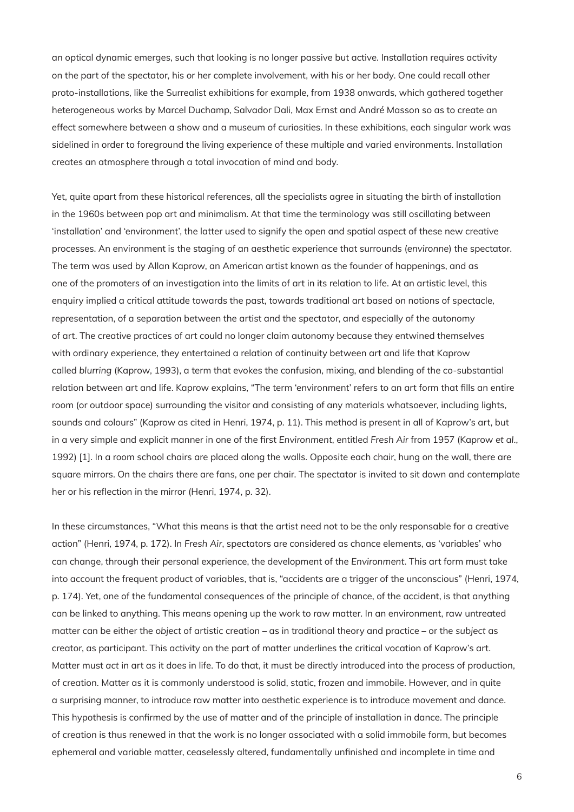an optical dynamic emerges, such that looking is no longer passive but active. Installation requires activity on the part of the spectator, his or her complete involvement, with his or her body. One could recall other proto-installations, like the Surrealist exhibitions for example, from 1938 onwards, which gathered together heterogeneous works by Marcel Duchamp, Salvador Dali, Max Ernst and André Masson so as to create an effect somewhere between a show and a museum of curiosities. In these exhibitions, each singular work was sidelined in order to foreground the living experience of these multiple and varied environments. Installation creates an atmosphere through a total invocation of mind and body.

Yet, quite apart from these historical references, all the specialists agree in situating the birth of installation in the 1960s between pop art and minimalism. At that time the terminology was still oscillating between 'installation' and 'environment', the latter used to signify the open and spatial aspect of these new creative processes. An environment is the staging of an aesthetic experience that surrounds (*environne*) the spectator. The term was used by Allan Kaprow, an American artist known as the founder of happenings, and as one of the promoters of an investigation into the limits of art in its relation to life. At an artistic level, this enquiry implied a critical attitude towards the past, towards traditional art based on notions of spectacle, representation, of a separation between the artist and the spectator, and especially of the autonomy of art. The creative practices of art could no longer claim autonomy because they entwined themselves with ordinary experience, they entertained a relation of continuity between art and life that Kaprow called *blurring* (Kaprow, 1993), a term that evokes the confusion, mixing, and blending of the co-substantial relation between art and life. Kaprow explains, "The term 'environment' refers to an art form that fills an entire room (or outdoor space) surrounding the visitor and consisting of any materials whatsoever, including lights, sounds and colours" (Kaprow as cited in Henri, 1974, p. 11). This method is present in all of Kaprow's art, but in a very simple and explicit manner in one of the first *Environment*, entitled *Fresh Air* from 1957 (Kaprow *et al*., 1992) [1]. In a room school chairs are placed along the walls. Opposite each chair, hung on the wall, there are square mirrors. On the chairs there are fans, one per chair. The spectator is invited to sit down and contemplate her or his reflection in the mirror (Henri, 1974, p. 32).

In these circumstances, "What this means is that the artist need not to be the only responsable for a creative action" (Henri, 1974, p. 172). In *Fresh Air*, spectators are considered as chance elements, as 'variables' who can change, through their personal experience, the development of the *Environment*. This art form must take into account the frequent product of variables, that is, "accidents are a trigger of the unconscious" (Henri, 1974, p. 174). Yet, one of the fundamental consequences of the principle of chance, of the accident, is that anything can be linked to anything. This means opening up the work to raw matter. In an environment, raw untreated matter can be either the *object* of artistic creation – as in traditional theory and practice – or the *subject* as creator, as participant. This activity on the part of matter underlines the critical vocation of Kaprow's art. Matter must *act* in art as it does in life. To do that, it must be directly introduced into the process of production, of creation. Matter as it is commonly understood is solid, static, frozen and immobile. However, and in quite a surprising manner, to introduce raw matter into aesthetic experience is to introduce movement and dance. This hypothesis is confirmed by the use of matter and of the principle of installation in dance. The principle of creation is thus renewed in that the work is no longer associated with a solid immobile form, but becomes ephemeral and variable matter, ceaselessly altered, fundamentally unfinished and incomplete in time and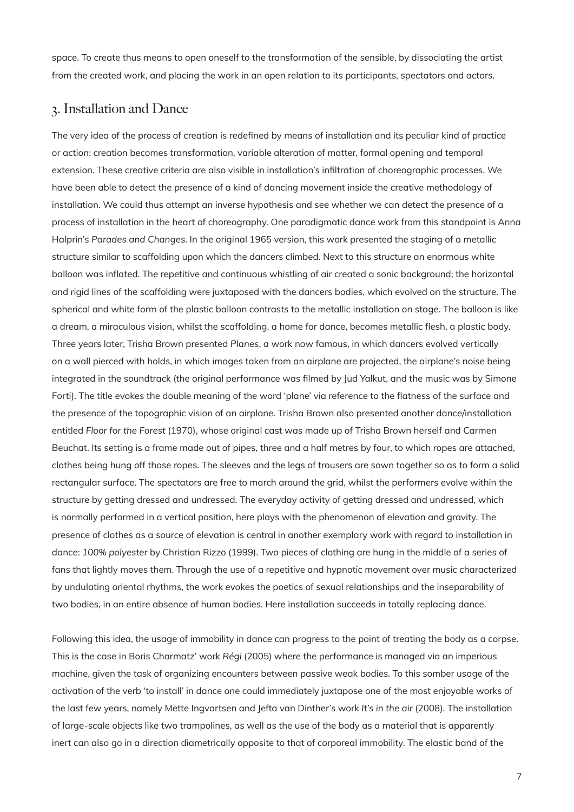space. To create thus means to open oneself to the transformation of the sensible, by dissociating the artist from the created work, and placing the work in an open relation to its participants, spectators and actors.

### 3. Installation and Dance

The very idea of the process of creation is redefined by means of installation and its peculiar kind of practice or action: creation becomes transformation, variable alteration of matter, formal opening and temporal extension. These creative criteria are also visible in installation's infiltration of choreographic processes. We have been able to detect the presence of a kind of dancing movement inside the creative methodology of installation. We could thus attempt an inverse hypothesis and see whether we can detect the presence of a process of installation in the heart of choreography. One paradigmatic dance work from this standpoint is Anna Halprin's *Parades and Changes*. In the original 1965 version, this work presented the staging of a metallic structure similar to scaffolding upon which the dancers climbed. Next to this structure an enormous white balloon was inflated. The repetitive and continuous whistling of air created a sonic background; the horizontal and rigid lines of the scaffolding were juxtaposed with the dancers bodies, which evolved on the structure. The spherical and white form of the plastic balloon contrasts to the metallic installation on stage. The balloon is like a dream, a miraculous vision, whilst the scaffolding, a home for dance, becomes metallic flesh, a plastic body. Three years later, Trisha Brown presented *Planes*, a work now famous, in which dancers evolved vertically on a wall pierced with holds, in which images taken from an airplane are projected, the airplane's noise being integrated in the soundtrack (the original performance was filmed by Jud Yalkut, and the music was by Simone Forti). The title evokes the double meaning of the word 'plane' via reference to the flatness of the surface and the presence of the topographic vision of an airplane. Trisha Brown also presented another dance/installation entitled *Floor for the Forest* (1970), whose original cast was made up of Trisha Brown herself and Carmen Beuchat. Its setting is a frame made out of pipes, three and a half metres by four, to which ropes are attached, clothes being hung off those ropes. The sleeves and the legs of trousers are sown together so as to form a solid rectangular surface. The spectators are free to march around the grid, whilst the performers evolve within the structure by getting dressed and undressed. The everyday activity of getting dressed and undressed, which is normally performed in a vertical position, here plays with the phenomenon of elevation and gravity. The presence of clothes as a source of elevation is central in another exemplary work with regard to installation in dance: *100% polyester* by Christian Rizzo (1999). Two pieces of clothing are hung in the middle of a series of fans that lightly moves them. Through the use of a repetitive and hypnotic movement over music characterized by undulating oriental rhythms, the work evokes the poetics of sexual relationships and the inseparability of two bodies, in an entire absence of human bodies. Here installation succeeds in totally replacing dance.

Following this idea, the usage of immobility in dance can progress to the point of treating the body as a corpse. This is the case in Boris Charmatz' work *Régi* (2005) where the performance is managed via an imperious machine, given the task of organizing encounters between passive weak bodies. To this somber usage of the activation of the verb 'to install' in dance one could immediately juxtapose one of the most enjoyable works of the last few years, namely Mette Ingvartsen and Jefta van Dinther's work *It's in the air* (2008). The installation of large-scale objects like two trampolines, as well as the use of the body as a material that is apparently inert can also go in a direction diametrically opposite to that of corporeal immobility. The elastic band of the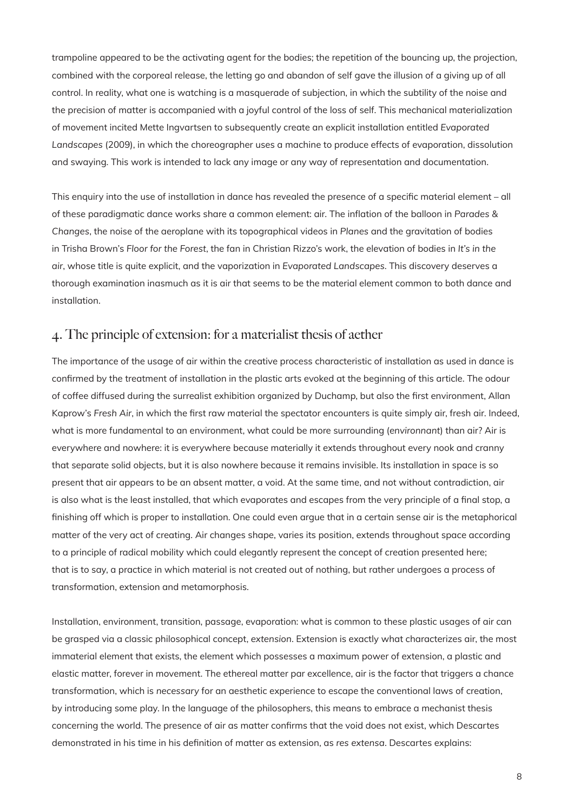trampoline appeared to be the activating agent for the bodies; the repetition of the bouncing up, the projection, combined with the corporeal release, the letting go and abandon of self gave the illusion of a giving up of all control. In reality, what one is watching is a masquerade of subjection, in which the subtility of the noise and the precision of matter is accompanied with a joyful control of the loss of self. This mechanical materialization of movement incited Mette Ingvartsen to subsequently create an explicit installation entitled *Evaporated Landscapes* (2009), in which the choreographer uses a machine to produce effects of evaporation, dissolution and swaying. This work is intended to lack any image or any way of representation and documentation.

This enquiry into the use of installation in dance has revealed the presence of a specific material element – all of these paradigmatic dance works share a common element: air. The inflation of the balloon in *Parades & Changes*, the noise of the aeroplane with its topographical videos in *Planes* and the gravitation of bodies in Trisha Brown's *Floor for the Forest*, the fan in Christian Rizzo's work, the elevation of bodies in *It's in the air*, whose title is quite explicit, and the vaporization in *Evaporated Landscapes*. This discovery deserves a thorough examination inasmuch as it is air that seems to be the material element common to both dance and installation.

## 4. The principle of extension: for a materialist thesis of aether

The importance of the usage of air within the creative process characteristic of installation as used in dance is confirmed by the treatment of installation in the plastic arts evoked at the beginning of this article. The odour of coffee diffused during the surrealist exhibition organized by Duchamp, but also the first environment, Allan Kaprow's *Fresh Air*, in which the first raw material the spectator encounters is quite simply air, fresh air. Indeed, what is more fundamental to an environment, what could be more surrounding (*environnant*) than air? Air is everywhere and nowhere: it is everywhere because materially it extends throughout every nook and cranny that separate solid objects, but it is also nowhere because it remains invisible. Its installation in space is so present that air appears to be an absent matter, a void. At the same time, and not without contradiction, air is also what is the least installed, that which evaporates and escapes from the very principle of a final stop, a finishing off which is proper to installation. One could even argue that in a certain sense air is the metaphorical matter of the very act of creating. Air changes shape, varies its position, extends throughout space according to a principle of radical mobility which could elegantly represent the concept of creation presented here; that is to say, a practice in which material is not created out of nothing, but rather undergoes a process of transformation, extension and metamorphosis.

Installation, environment, transition, passage, evaporation: what is common to these plastic usages of air can be grasped via a classic philosophical concept, *extension*. Extension is exactly what characterizes air, the most immaterial element that exists, the element which possesses a maximum power of extension, a plastic and elastic matter, forever in movement. The ethereal matter par excellence, air is the factor that triggers a chance transformation, which is *necessary* for an aesthetic experience to escape the conventional laws of creation, by introducing some play. In the language of the philosophers, this means to embrace a mechanist thesis concerning the world. The presence of air as matter confirms that the void does not exist, which Descartes demonstrated in his time in his definition of matter as extension, as *res extensa*. Descartes explains: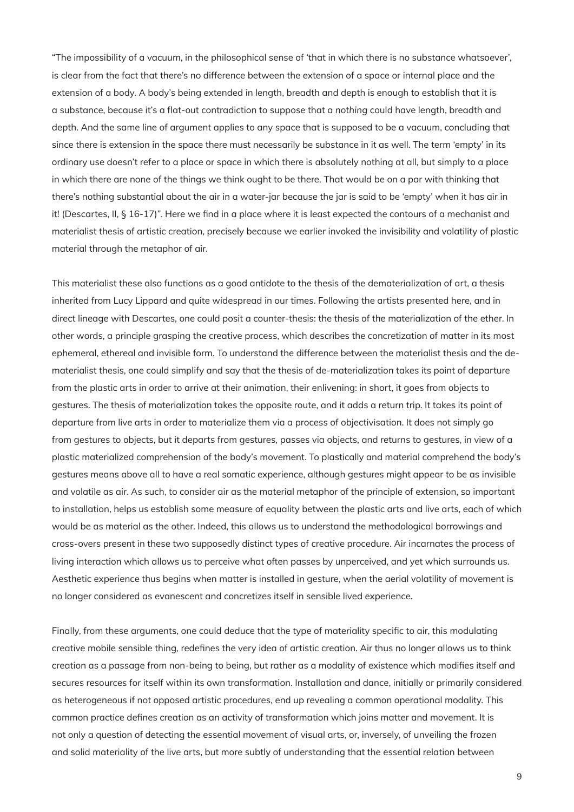"The impossibility of a vacuum, in the philosophical sense of 'that in which there is no substance whatsoever', is clear from the fact that there's no difference between the extension of a space or internal place and the extension of a body. A body's being extended in length, breadth and depth is enough to establish that it is a substance, because it's a flat-out contradiction to suppose that a *nothing* could have length, breadth and depth. And the same line of argument applies to any space that is supposed to be a vacuum, concluding that since there is extension in the space there must necessarily be substance in it as well. The term 'empty' in its ordinary use doesn't refer to a place or space in which there is absolutely nothing at all, but simply to a place in which there are none of the things we think ought to be there. That would be on a par with thinking that there's nothing substantial about the air in a water-jar because the jar is said to be 'empty' when it has air in it! (Descartes, II, § 16-17)". Here we find in a place where it is least expected the contours of a mechanist and materialist thesis of artistic creation, precisely because we earlier invoked the invisibility and volatility of plastic material through the metaphor of air.

This materialist these also functions as a good antidote to the thesis of the dematerialization of art, a thesis inherited from Lucy Lippard and quite widespread in our times. Following the artists presented here, and in direct lineage with Descartes, one could posit a counter-thesis: the thesis of the materialization of the ether. In other words, a principle grasping the creative process, which describes the concretization of matter in its most ephemeral, ethereal and invisible form. To understand the difference between the materialist thesis and the dematerialist thesis, one could simplify and say that the thesis of de-materialization takes its point of departure from the plastic arts in order to arrive at their animation, their enlivening: in short, it goes from objects to gestures. The thesis of materialization takes the opposite route, and it adds a return trip. It takes its point of departure from live arts in order to materialize them via a process of objectivisation. It does not simply go from gestures to objects, but it departs from gestures, passes via objects, and returns to gestures, in view of a plastic materialized comprehension of the body's movement. To plastically and material comprehend the body's gestures means above all to have a real somatic experience, although gestures might appear to be as invisible and volatile as air. As such, to consider air as the material metaphor of the principle of extension, so important to installation, helps us establish some measure of equality between the plastic arts and live arts, each of which would be as material as the other. Indeed, this allows us to understand the methodological borrowings and cross-overs present in these two supposedly distinct types of creative procedure. Air incarnates the process of living interaction which allows us to perceive what often passes by unperceived, and yet which surrounds us. Aesthetic experience thus begins when matter is installed in gesture, when the aerial volatility of movement is no longer considered as evanescent and concretizes itself in sensible lived experience.

Finally, from these arguments, one could deduce that the type of materiality specific to air, this modulating creative mobile sensible thing, redefines the very idea of artistic creation. Air thus no longer allows us to think creation as a passage from non-being to being, but rather as a modality of existence which modifies itself and secures resources for itself within its own transformation. Installation and dance, initially or primarily considered as heterogeneous if not opposed artistic procedures, end up revealing a common operational modality. This common practice defines creation as an activity of transformation which joins matter and movement. It is not only a question of detecting the essential movement of visual arts, or, inversely, of unveiling the frozen and solid materiality of the live arts, but more subtly of understanding that the essential relation between

9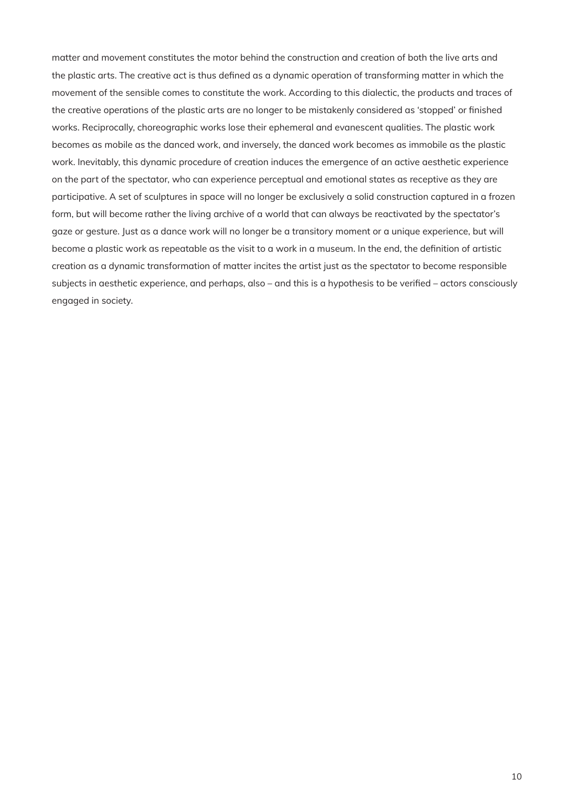matter and movement constitutes the motor behind the construction and creation of both the live arts and the plastic arts. The creative act is thus defined as a dynamic operation of transforming matter in which the movement of the sensible comes to constitute the work. According to this dialectic, the products and traces of the creative operations of the plastic arts are no longer to be mistakenly considered as 'stopped' or finished works. Reciprocally, choreographic works lose their ephemeral and evanescent qualities. The plastic work becomes as mobile as the danced work, and inversely, the danced work becomes as immobile as the plastic work. Inevitably, this dynamic procedure of creation induces the emergence of an active aesthetic experience on the part of the spectator, who can experience perceptual and emotional states as receptive as they are participative. A set of sculptures in space will no longer be exclusively a solid construction captured in a frozen form, but will become rather the living archive of a world that can always be reactivated by the spectator's gaze or gesture. Just as a dance work will no longer be a transitory moment or a unique experience, but will become a plastic work as repeatable as the visit to a work in a museum. In the end, the definition of artistic creation as a dynamic transformation of matter incites the artist just as the spectator to become responsible subjects in aesthetic experience, and perhaps, also – and this is a hypothesis to be verified – actors consciously engaged in society.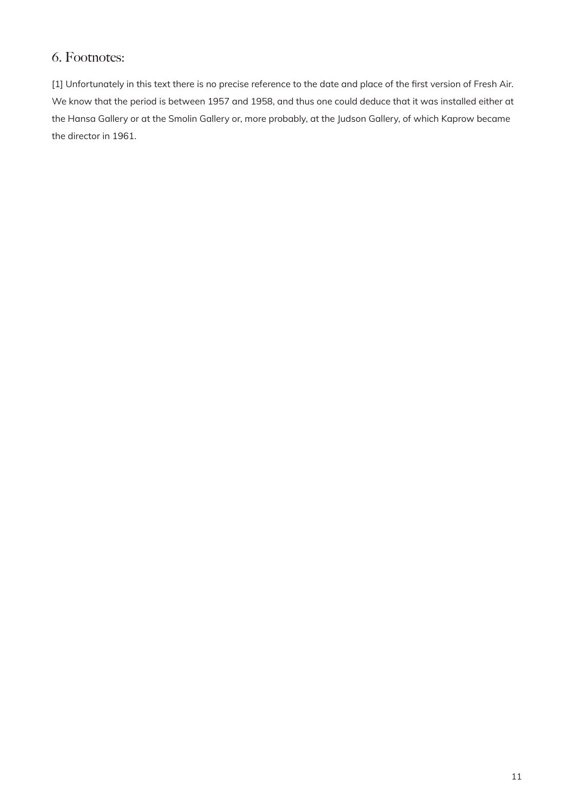## 6. Footnotes:

[1] Unfortunately in this text there is no precise reference to the date and place of the first version of Fresh Air. We know that the period is between 1957 and 1958, and thus one could deduce that it was installed either at the Hansa Gallery or at the Smolin Gallery or, more probably, at the Judson Gallery, of which Kaprow became the director in 1961.